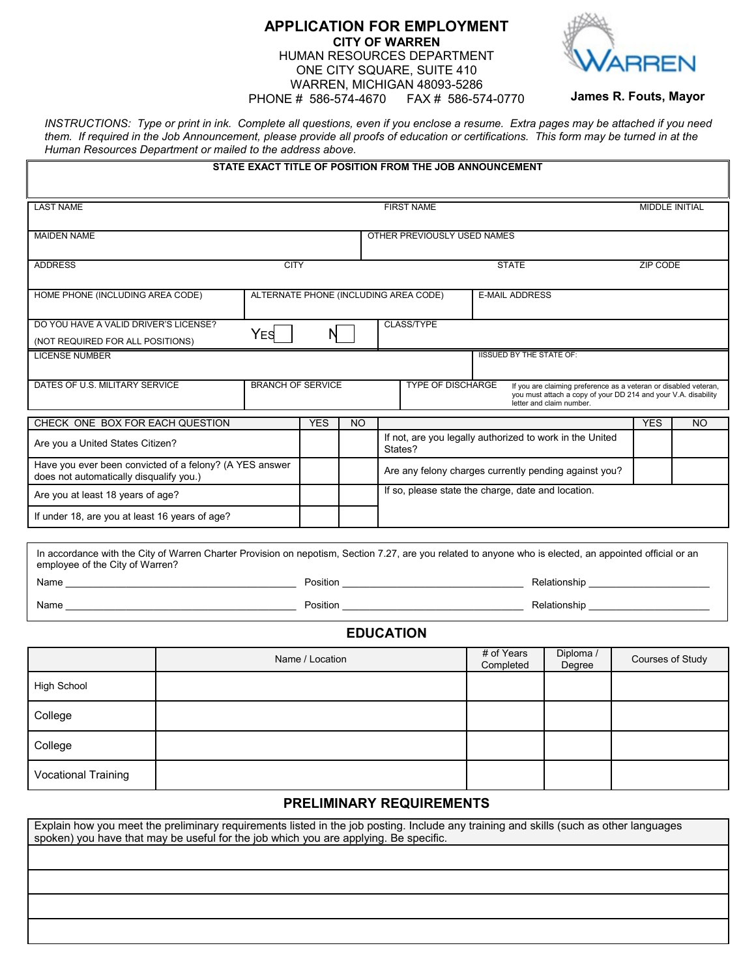## **APPLICATION FOR EMPLOYMENT CITY OF WARREN** HUMAN RESOURCES DEPARTMENT ONE CITY SQUARE, SUITE 410 WARREN, MICHIGAN 48093-5286 PHONE # 586-574-4670 FAX # 586-574-0770



 **James R. Fouts, Mayor** 

*INSTRUCTIONS: Type or print in ink. Complete all questions, even if you enclose a resume. Extra pages may be attached if you need them. If required in the Job Announcement, please provide all proofs of education or certifications. This form may be turned in at the Human Resources Department or mailed to the address above.*

|                                                                                                                                                                                             |                                            |                          |            |           |              | STATE EXACT TITLE OF POSITION FROM THE JOB ANNOUNCEMENT             |                                 |                                                                                                                                                                |                  |    |
|---------------------------------------------------------------------------------------------------------------------------------------------------------------------------------------------|--------------------------------------------|--------------------------|------------|-----------|--------------|---------------------------------------------------------------------|---------------------------------|----------------------------------------------------------------------------------------------------------------------------------------------------------------|------------------|----|
| <b>LAST NAME</b>                                                                                                                                                                            | <b>FIRST NAME</b><br><b>MIDDLE INITIAL</b> |                          |            |           |              |                                                                     |                                 |                                                                                                                                                                |                  |    |
| <b>MAIDEN NAME</b>                                                                                                                                                                          |                                            |                          |            |           |              | OTHER PREVIOUSLY USED NAMES                                         |                                 |                                                                                                                                                                |                  |    |
| <b>ADDRESS</b>                                                                                                                                                                              | <b>CITY</b>                                |                          |            |           | <b>STATE</b> |                                                                     |                                 |                                                                                                                                                                | <b>ZIP CODE</b>  |    |
| HOME PHONE (INCLUDING AREA CODE)                                                                                                                                                            | ALTERNATE PHONE (INCLUDING AREA CODE)      |                          |            |           |              |                                                                     | <b>E-MAIL ADDRESS</b>           |                                                                                                                                                                |                  |    |
| DO YOU HAVE A VALID DRIVER'S LICENSE?<br>(NOT REQUIRED FOR ALL POSITIONS)                                                                                                                   |                                            | YES                      | N          |           |              | <b>CLASS/TYPE</b>                                                   |                                 |                                                                                                                                                                |                  |    |
| <b>LICENSE NUMBER</b>                                                                                                                                                                       |                                            |                          |            |           |              |                                                                     | <b>IISSUED BY THE STATE OF:</b> |                                                                                                                                                                |                  |    |
| DATES OF U.S. MILITARY SERVICE                                                                                                                                                              |                                            | <b>BRANCH OF SERVICE</b> |            |           |              | TYPE OF DISCHARGE                                                   |                                 | If you are claiming preference as a veteran or disabled veteran,<br>you must attach a copy of your DD 214 and your V.A. disability<br>letter and claim number. |                  |    |
| CHECK ONE BOX FOR EACH QUESTION                                                                                                                                                             |                                            |                          | <b>YES</b> | <b>NO</b> |              |                                                                     |                                 |                                                                                                                                                                | <b>YES</b>       | NO |
| Are you a United States Citizen?                                                                                                                                                            |                                            |                          |            |           |              | If not, are you legally authorized to work in the United<br>States? |                                 |                                                                                                                                                                |                  |    |
| Have you ever been convicted of a felony? (A YES answer<br>does not automatically disqualify you.)                                                                                          |                                            |                          |            |           |              | Are any felony charges currently pending against you?               |                                 |                                                                                                                                                                |                  |    |
| Are you at least 18 years of age?                                                                                                                                                           |                                            |                          |            |           |              | If so, please state the charge, date and location.                  |                                 |                                                                                                                                                                |                  |    |
| If under 18, are you at least 16 years of age?                                                                                                                                              |                                            |                          |            |           |              |                                                                     |                                 |                                                                                                                                                                |                  |    |
| In accordance with the City of Warren Charter Provision on nepotism, Section 7.27, are you related to anyone who is elected, an appointed official or an<br>employee of the City of Warren? |                                            |                          |            |           |              |                                                                     |                                 |                                                                                                                                                                |                  |    |
|                                                                                                                                                                                             |                                            |                          |            |           |              |                                                                     |                                 |                                                                                                                                                                |                  |    |
|                                                                                                                                                                                             |                                            |                          |            |           |              |                                                                     |                                 |                                                                                                                                                                |                  |    |
| <b>EDUCATION</b>                                                                                                                                                                            |                                            |                          |            |           |              |                                                                     |                                 |                                                                                                                                                                |                  |    |
|                                                                                                                                                                                             | Name / Location                            |                          |            |           |              |                                                                     | # of Years<br>Completed         | Diploma /<br>Degree                                                                                                                                            | Courses of Study |    |
| <b>High School</b>                                                                                                                                                                          |                                            |                          |            |           |              |                                                                     |                                 |                                                                                                                                                                |                  |    |
| College                                                                                                                                                                                     |                                            |                          |            |           |              |                                                                     |                                 |                                                                                                                                                                |                  |    |
| College                                                                                                                                                                                     |                                            |                          |            |           |              |                                                                     |                                 |                                                                                                                                                                |                  |    |
| <b>Vocational Training</b>                                                                                                                                                                  |                                            |                          |            |           |              |                                                                     |                                 |                                                                                                                                                                |                  |    |
|                                                                                                                                                                                             |                                            |                          |            |           |              | <b>PRELIMINARY REQUIREMENTS</b>                                     |                                 |                                                                                                                                                                |                  |    |

Explain how you meet the preliminary requirements listed in the job posting. Include any training and skills (such as other languages spoken) you have that may be useful for the job which you are applying. Be specific.